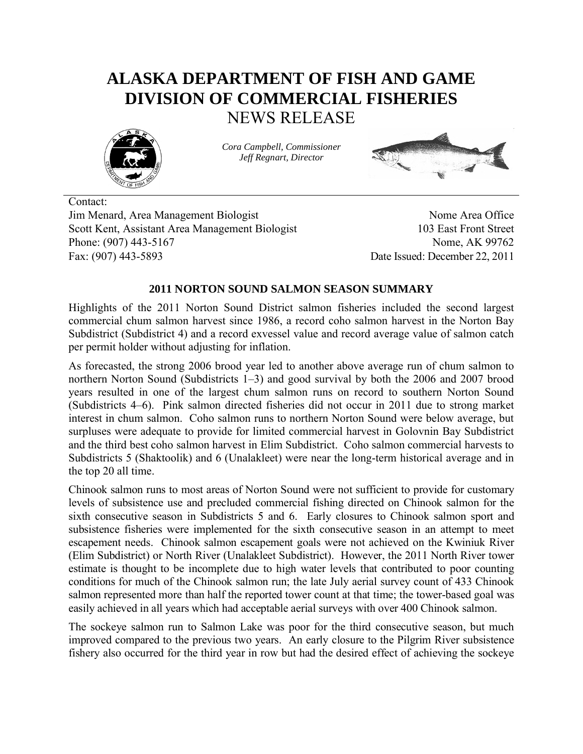# **ALASKA DEPARTMENT OF FISH AND GAME DIVISION OF COMMERCIAL FISHERIES** NEWS RELEASE



*Cora Campbell, Commissioner Jeff Regnart, Director*



Contact: Jim Menard, Area Management Biologist Nome Area Office Scott Kent, Assistant Area Management Biologist 103 East Front Street Phone: (907) 443-5167 Nome, AK 99762 Fax: (907) 443-5893 Date Issued: December 22, 2011

# **2011 NORTON SOUND SALMON SEASON SUMMARY**

Highlights of the 2011 Norton Sound District salmon fisheries included the second largest commercial chum salmon harvest since 1986, a record coho salmon harvest in the Norton Bay Subdistrict (Subdistrict 4) and a record exvessel value and record average value of salmon catch per permit holder without adjusting for inflation.

As forecasted, the strong 2006 brood year led to another above average run of chum salmon to northern Norton Sound (Subdistricts 1–3) and good survival by both the 2006 and 2007 brood years resulted in one of the largest chum salmon runs on record to southern Norton Sound (Subdistricts 4–6). Pink salmon directed fisheries did not occur in 2011 due to strong market interest in chum salmon. Coho salmon runs to northern Norton Sound were below average, but surpluses were adequate to provide for limited commercial harvest in Golovnin Bay Subdistrict and the third best coho salmon harvest in Elim Subdistrict. Coho salmon commercial harvests to Subdistricts 5 (Shaktoolik) and 6 (Unalakleet) were near the long-term historical average and in the top 20 all time.

Chinook salmon runs to most areas of Norton Sound were not sufficient to provide for customary levels of subsistence use and precluded commercial fishing directed on Chinook salmon for the sixth consecutive season in Subdistricts 5 and 6. Early closures to Chinook salmon sport and subsistence fisheries were implemented for the sixth consecutive season in an attempt to meet escapement needs. Chinook salmon escapement goals were not achieved on the Kwiniuk River (Elim Subdistrict) or North River (Unalakleet Subdistrict). However, the 2011 North River tower estimate is thought to be incomplete due to high water levels that contributed to poor counting conditions for much of the Chinook salmon run; the late July aerial survey count of 433 Chinook salmon represented more than half the reported tower count at that time; the tower-based goal was easily achieved in all years which had acceptable aerial surveys with over 400 Chinook salmon.

The sockeye salmon run to Salmon Lake was poor for the third consecutive season, but much improved compared to the previous two years. An early closure to the Pilgrim River subsistence fishery also occurred for the third year in row but had the desired effect of achieving the sockeye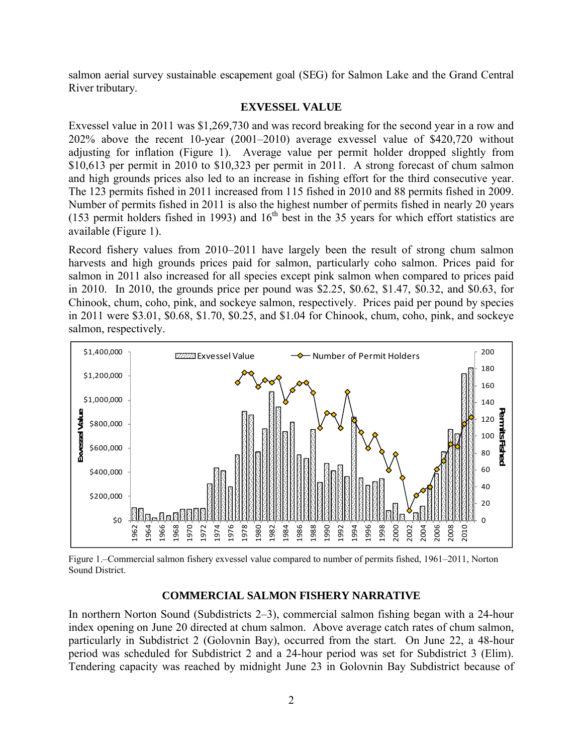salmon aerial survey sustainable escapement goal (SEG) for Salmon Lake and the Grand Central River tributary.

### **EXVESSEL VALUE**

Exvessel value in 2011 was \$1,269,730 and was record breaking for the second year in a row and 202% above the recent 10-year (2001–2010) average exvessel value of \$420,720 without adjusting for inflation (Figure 1). Average value per permit holder dropped slightly from \$10,613 per permit in 2010 to \$10,323 per permit in 2011. A strong forecast of chum salmon and high grounds prices also led to an increase in fishing effort for the third consecutive year. The 123 permits fished in 2011 increased from 115 fished in 2010 and 88 permits fished in 2009. Number of permits fished in 2011 is also the highest number of permits fished in nearly 20 years (153 permit holders fished in 1993) and  $16<sup>th</sup>$  best in the 35 years for which effort statistics are available (Figure 1).

Record fishery values from 2010–2011 have largely been the result of strong chum salmon harvests and high grounds prices paid for salmon, particularly coho salmon. Prices paid for salmon in 2011 also increased for all species except pink salmon when compared to prices paid in 2010. In 2010, the grounds price per pound was \$2.25, \$0.62, \$1.47, \$0.32, and \$0.63, for Chinook, chum, coho, pink, and sockeye salmon, respectively. Prices paid per pound by species in 2011 were \$3.01, \$0.68, \$1.70, \$0.25, and \$1.04 for Chinook, chum, coho, pink, and sockeye salmon, respectively.



Figure 1.–Commercial salmon fishery exvessel value compared to number of permits fished, 1961–2011, Norton Sound District.

## **COMMERCIAL SALMON FISHERY NARRATIVE**

In northern Norton Sound (Subdistricts 2–3), commercial salmon fishing began with a 24-hour index opening on June 20 directed at chum salmon. Above average catch rates of chum salmon, particularly in Subdistrict 2 (Golovnin Bay), occurred from the start. On June 22, a 48-hour period was scheduled for Subdistrict 2 and a 24-hour period was set for Subdistrict 3 (Elim). Tendering capacity was reached by midnight June 23 in Golovnin Bay Subdistrict because of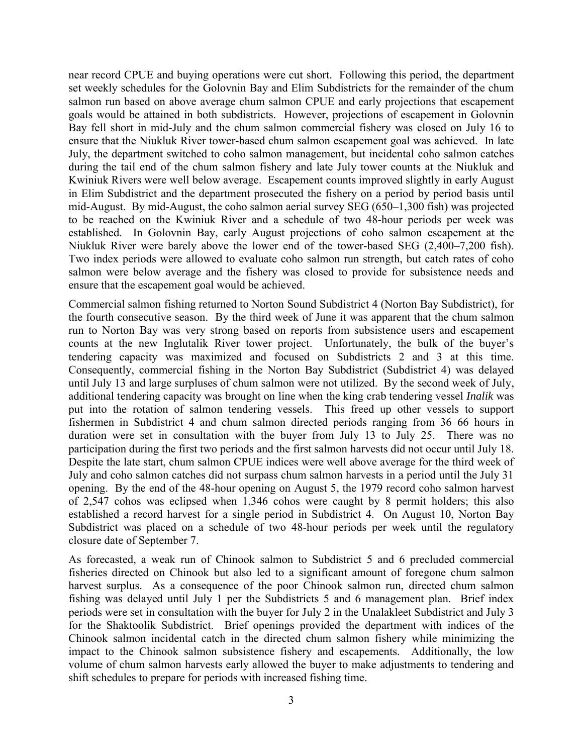near record CPUE and buying operations were cut short. Following this period, the department set weekly schedules for the Golovnin Bay and Elim Subdistricts for the remainder of the chum salmon run based on above average chum salmon CPUE and early projections that escapement goals would be attained in both subdistricts. However, projections of escapement in Golovnin Bay fell short in mid-July and the chum salmon commercial fishery was closed on July 16 to ensure that the Niukluk River tower-based chum salmon escapement goal was achieved. In late July, the department switched to coho salmon management, but incidental coho salmon catches during the tail end of the chum salmon fishery and late July tower counts at the Niukluk and Kwiniuk Rivers were well below average. Escapement counts improved slightly in early August in Elim Subdistrict and the department prosecuted the fishery on a period by period basis until mid-August. By mid-August, the coho salmon aerial survey SEG (650–1,300 fish) was projected to be reached on the Kwiniuk River and a schedule of two 48-hour periods per week was established. In Golovnin Bay, early August projections of coho salmon escapement at the Niukluk River were barely above the lower end of the tower-based SEG (2,400–7,200 fish). Two index periods were allowed to evaluate coho salmon run strength, but catch rates of coho salmon were below average and the fishery was closed to provide for subsistence needs and ensure that the escapement goal would be achieved.

Commercial salmon fishing returned to Norton Sound Subdistrict 4 (Norton Bay Subdistrict), for the fourth consecutive season. By the third week of June it was apparent that the chum salmon run to Norton Bay was very strong based on reports from subsistence users and escapement counts at the new Inglutalik River tower project. Unfortunately, the bulk of the buyer's tendering capacity was maximized and focused on Subdistricts 2 and 3 at this time. Consequently, commercial fishing in the Norton Bay Subdistrict (Subdistrict 4) was delayed until July 13 and large surpluses of chum salmon were not utilized. By the second week of July, additional tendering capacity was brought on line when the king crab tendering vessel *Inalik* was put into the rotation of salmon tendering vessels. This freed up other vessels to support fishermen in Subdistrict 4 and chum salmon directed periods ranging from 36–66 hours in duration were set in consultation with the buyer from July 13 to July 25. There was no participation during the first two periods and the first salmon harvests did not occur until July 18. Despite the late start, chum salmon CPUE indices were well above average for the third week of July and coho salmon catches did not surpass chum salmon harvests in a period until the July 31 opening. By the end of the 48-hour opening on August 5, the 1979 record coho salmon harvest of 2,547 cohos was eclipsed when 1,346 cohos were caught by 8 permit holders; this also established a record harvest for a single period in Subdistrict 4. On August 10, Norton Bay Subdistrict was placed on a schedule of two 48-hour periods per week until the regulatory closure date of September 7.

As forecasted, a weak run of Chinook salmon to Subdistrict 5 and 6 precluded commercial fisheries directed on Chinook but also led to a significant amount of foregone chum salmon harvest surplus. As a consequence of the poor Chinook salmon run, directed chum salmon fishing was delayed until July 1 per the Subdistricts 5 and 6 management plan. Brief index periods were set in consultation with the buyer for July 2 in the Unalakleet Subdistrict and July 3 for the Shaktoolik Subdistrict. Brief openings provided the department with indices of the Chinook salmon incidental catch in the directed chum salmon fishery while minimizing the impact to the Chinook salmon subsistence fishery and escapements. Additionally, the low volume of chum salmon harvests early allowed the buyer to make adjustments to tendering and shift schedules to prepare for periods with increased fishing time.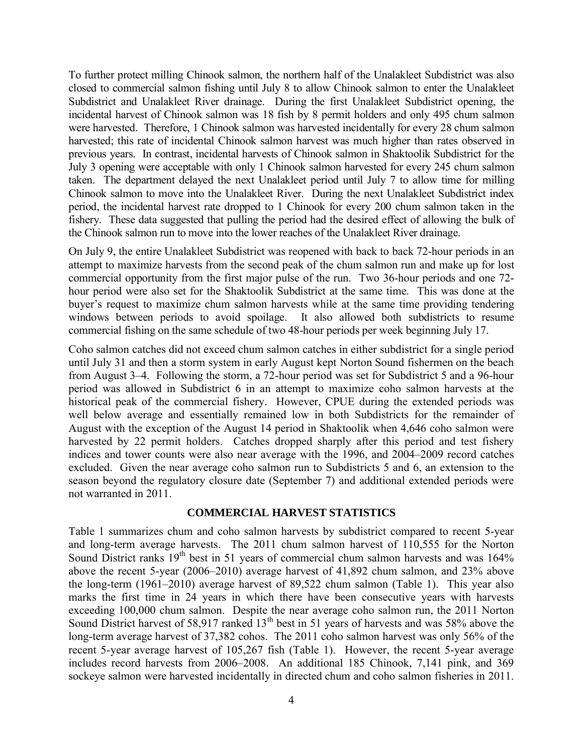To further protect milling Chinook salmon, the northern half of the Unalakleet Subdistrict was also closed to commercial salmon fishing until July 8 to allow Chinook salmon to enter the Unalakleet Subdistrict and Unalakleet River drainage. During the first Unalakleet Subdistrict opening, the incidental harvest of Chinook salmon was 18 fish by 8 permit holders and only 495 chum salmon were harvested. Therefore, 1 Chinook salmon was harvested incidentally for every 28 chum salmon harvested; this rate of incidental Chinook salmon harvest was much higher than rates observed in previous years. In contrast, incidental harvests of Chinook salmon in Shaktoolik Subdistrict for the July 3 opening were acceptable with only 1 Chinook salmon harvested for every 245 chum salmon taken. The department delayed the next Unalakleet period until July 7 to allow time for milling Chinook salmon to move into the Unalakleet River. During the next Unalakleet Subdistrict index period, the incidental harvest rate dropped to 1 Chinook for every 200 chum salmon taken in the fishery. These data suggested that pulling the period had the desired effect of allowing the bulk of the Chinook salmon run to move into the lower reaches of the Unalakleet River drainage.

On July 9, the entire Unalakleet Subdistrict was reopened with back to back 72-hour periods in an attempt to maximize harvests from the second peak of the chum salmon run and make up for lost commercial opportunity from the first major pulse of the run. Two 36-hour periods and one 72 hour period were also set for the Shaktoolik Subdistrict at the same time. This was done at the buyer's request to maximize chum salmon harvests while at the same time providing tendering windows between periods to avoid spoilage. It also allowed both subdistricts to resume commercial fishing on the same schedule of two 48-hour periods per week beginning July 17.

Coho salmon catches did not exceed chum salmon catches in either subdistrict for a single period until July 31 and then a storm system in early August kept Norton Sound fishermen on the beach from August 3–4. Following the storm, a 72-hour period was set for Subdistrict 5 and a 96-hour period was allowed in Subdistrict 6 in an attempt to maximize coho salmon harvests at the historical peak of the commercial fishery. However, CPUE during the extended periods was well below average and essentially remained low in both Subdistricts for the remainder of August with the exception of the August 14 period in Shaktoolik when 4,646 coho salmon were harvested by 22 permit holders. Catches dropped sharply after this period and test fishery indices and tower counts were also near average with the 1996, and 2004–2009 record catches excluded. Given the near average coho salmon run to Subdistricts 5 and 6, an extension to the season beyond the regulatory closure date (September 7) and additional extended periods were not warranted in 2011.

## **COMMERCIAL HARVEST STATISTICS**

Table 1 summarizes chum and coho salmon harvests by subdistrict compared to recent 5-year and long-term average harvests. The 2011 chum salmon harvest of 110,555 for the Norton Sound District ranks  $19<sup>th</sup>$  best in 51 years of commercial chum salmon harvests and was  $164\%$ above the recent 5-year (2006–2010) average harvest of 41,892 chum salmon, and 23% above the long-term (1961–2010) average harvest of 89,522 chum salmon (Table 1). This year also marks the first time in 24 years in which there have been consecutive years with harvests exceeding 100,000 chum salmon. Despite the near average coho salmon run, the 2011 Norton Sound District harvest of 58,917 ranked 13<sup>th</sup> best in 51 years of harvests and was 58% above the long-term average harvest of 37,382 cohos. The 2011 coho salmon harvest was only 56% of the recent 5-year average harvest of 105,267 fish (Table 1). However, the recent 5-year average includes record harvests from 2006–2008. An additional 185 Chinook, 7,141 pink, and 369 sockeye salmon were harvested incidentally in directed chum and coho salmon fisheries in 2011.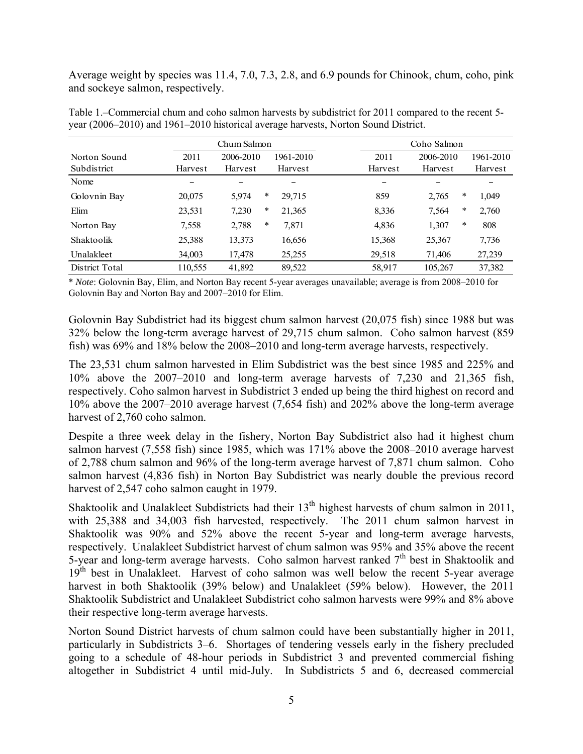Average weight by species was 11.4, 7.0, 7.3, 2.8, and 6.9 pounds for Chinook, chum, coho, pink and sockeye salmon, respectively.

|                | Chum Salmon |           | Coho Salmon |           |  |         |           |        |           |
|----------------|-------------|-----------|-------------|-----------|--|---------|-----------|--------|-----------|
| Norton Sound   | 2011        | 2006-2010 |             | 1961-2010 |  | 2011    | 2006-2010 |        | 1961-2010 |
| Subdistrict    | Harvest     | Harvest   |             | Harvest   |  | Harvest | Harvest   |        | Harvest   |
| Nome           |             |           |             |           |  |         |           |        |           |
| Golovnin Bay   | 20,075      | 5,974     | ∗           | 29,715    |  | 859     | 2,765     | $\ast$ | 1,049     |
| Elim           | 23,531      | 7,230     | *           | 21,365    |  | 8.336   | 7,564     | $\ast$ | 2,760     |
| Norton Bay     | 7,558       | 2,788     | *           | 7,871     |  | 4,836   | 1,307     | $\ast$ | 808       |
| Shaktoolik     | 25,388      | 13,373    |             | 16,656    |  | 15,368  | 25,367    |        | 7,736     |
| Unalakleet     | 34,003      | 17,478    |             | 25,255    |  | 29,518  | 71,406    |        | 27,239    |
| District Total | 110,555     | 41,892    |             | 89,522    |  | 58,917  | 105,267   |        | 37,382    |

Table 1.–Commercial chum and coho salmon harvests by subdistrict for 2011 compared to the recent 5 year (2006–2010) and 1961–2010 historical average harvests, Norton Sound District.

\* *Note*: Golovnin Bay, Elim, and Norton Bay recent 5-year averages unavailable; average is from 2008–2010 for Golovnin Bay and Norton Bay and 2007–2010 for Elim.

Golovnin Bay Subdistrict had its biggest chum salmon harvest (20,075 fish) since 1988 but was 32% below the long-term average harvest of 29,715 chum salmon. Coho salmon harvest (859 fish) was 69% and 18% below the 2008–2010 and long-term average harvests, respectively.

The 23,531 chum salmon harvested in Elim Subdistrict was the best since 1985 and 225% and 10% above the 2007–2010 and long-term average harvests of 7,230 and 21,365 fish, respectively. Coho salmon harvest in Subdistrict 3 ended up being the third highest on record and 10% above the 2007–2010 average harvest (7,654 fish) and 202% above the long-term average harvest of 2,760 coho salmon.

Despite a three week delay in the fishery, Norton Bay Subdistrict also had it highest chum salmon harvest (7,558 fish) since 1985, which was 171% above the 2008–2010 average harvest of 2,788 chum salmon and 96% of the long-term average harvest of 7,871 chum salmon. Coho salmon harvest (4,836 fish) in Norton Bay Subdistrict was nearly double the previous record harvest of 2,547 coho salmon caught in 1979.

Shaktoolik and Unalakleet Subdistricts had their  $13<sup>th</sup>$  highest harvests of chum salmon in 2011, with 25,388 and 34,003 fish harvested, respectively. The 2011 chum salmon harvest in Shaktoolik was 90% and 52% above the recent 5-year and long-term average harvests, respectively. Unalakleet Subdistrict harvest of chum salmon was 95% and 35% above the recent 5-year and long-term average harvests. Coho salmon harvest ranked 7<sup>th</sup> best in Shaktoolik and  $19<sup>th</sup>$  best in Unalakleet. Harvest of coho salmon was well below the recent 5-year average harvest in both Shaktoolik (39% below) and Unalakleet (59% below). However, the 2011 Shaktoolik Subdistrict and Unalakleet Subdistrict coho salmon harvests were 99% and 8% above their respective long-term average harvests.

Norton Sound District harvests of chum salmon could have been substantially higher in 2011, particularly in Subdistricts 3–6. Shortages of tendering vessels early in the fishery precluded going to a schedule of 48-hour periods in Subdistrict 3 and prevented commercial fishing altogether in Subdistrict 4 until mid-July. In Subdistricts 5 and 6, decreased commercial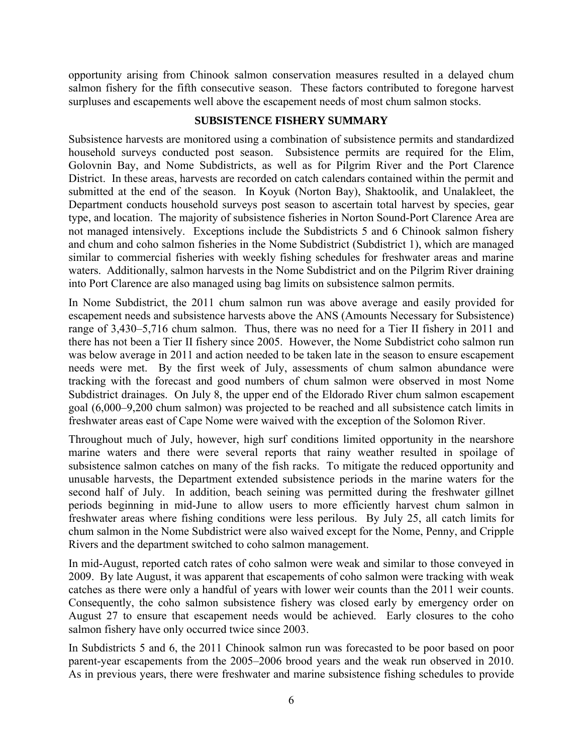opportunity arising from Chinook salmon conservation measures resulted in a delayed chum salmon fishery for the fifth consecutive season. These factors contributed to foregone harvest surpluses and escapements well above the escapement needs of most chum salmon stocks.

# **SUBSISTENCE FISHERY SUMMARY**

Subsistence harvests are monitored using a combination of subsistence permits and standardized household surveys conducted post season. Subsistence permits are required for the Elim, Golovnin Bay, and Nome Subdistricts, as well as for Pilgrim River and the Port Clarence District. In these areas, harvests are recorded on catch calendars contained within the permit and submitted at the end of the season. In Koyuk (Norton Bay), Shaktoolik, and Unalakleet, the Department conducts household surveys post season to ascertain total harvest by species, gear type, and location. The majority of subsistence fisheries in Norton Sound-Port Clarence Area are not managed intensively. Exceptions include the Subdistricts 5 and 6 Chinook salmon fishery and chum and coho salmon fisheries in the Nome Subdistrict (Subdistrict 1), which are managed similar to commercial fisheries with weekly fishing schedules for freshwater areas and marine waters. Additionally, salmon harvests in the Nome Subdistrict and on the Pilgrim River draining into Port Clarence are also managed using bag limits on subsistence salmon permits.

In Nome Subdistrict, the 2011 chum salmon run was above average and easily provided for escapement needs and subsistence harvests above the ANS (Amounts Necessary for Subsistence) range of 3,430–5,716 chum salmon. Thus, there was no need for a Tier II fishery in 2011 and there has not been a Tier II fishery since 2005. However, the Nome Subdistrict coho salmon run was below average in 2011 and action needed to be taken late in the season to ensure escapement needs were met. By the first week of July, assessments of chum salmon abundance were tracking with the forecast and good numbers of chum salmon were observed in most Nome Subdistrict drainages. On July 8, the upper end of the Eldorado River chum salmon escapement goal (6,000–9,200 chum salmon) was projected to be reached and all subsistence catch limits in freshwater areas east of Cape Nome were waived with the exception of the Solomon River.

Throughout much of July, however, high surf conditions limited opportunity in the nearshore marine waters and there were several reports that rainy weather resulted in spoilage of subsistence salmon catches on many of the fish racks. To mitigate the reduced opportunity and unusable harvests, the Department extended subsistence periods in the marine waters for the second half of July. In addition, beach seining was permitted during the freshwater gillnet periods beginning in mid-June to allow users to more efficiently harvest chum salmon in freshwater areas where fishing conditions were less perilous. By July 25, all catch limits for chum salmon in the Nome Subdistrict were also waived except for the Nome, Penny, and Cripple Rivers and the department switched to coho salmon management.

In mid-August, reported catch rates of coho salmon were weak and similar to those conveyed in 2009. By late August, it was apparent that escapements of coho salmon were tracking with weak catches as there were only a handful of years with lower weir counts than the 2011 weir counts. Consequently, the coho salmon subsistence fishery was closed early by emergency order on August 27 to ensure that escapement needs would be achieved. Early closures to the coho salmon fishery have only occurred twice since 2003.

In Subdistricts 5 and 6, the 2011 Chinook salmon run was forecasted to be poor based on poor parent-year escapements from the 2005–2006 brood years and the weak run observed in 2010. As in previous years, there were freshwater and marine subsistence fishing schedules to provide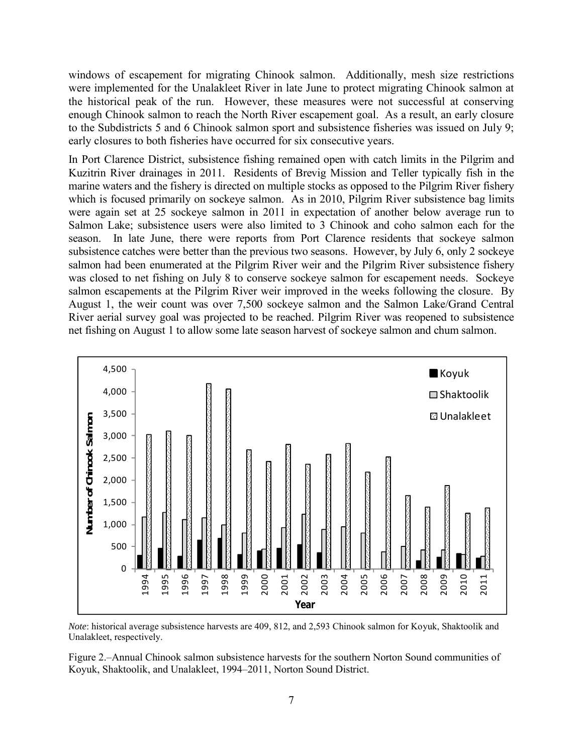windows of escapement for migrating Chinook salmon. Additionally, mesh size restrictions were implemented for the Unalakleet River in late June to protect migrating Chinook salmon at the historical peak of the run. However, these measures were not successful at conserving enough Chinook salmon to reach the North River escapement goal. As a result, an early closure to the Subdistricts 5 and 6 Chinook salmon sport and subsistence fisheries was issued on July 9; early closures to both fisheries have occurred for six consecutive years.

In Port Clarence District, subsistence fishing remained open with catch limits in the Pilgrim and Kuzitrin River drainages in 2011. Residents of Brevig Mission and Teller typically fish in the marine waters and the fishery is directed on multiple stocks as opposed to the Pilgrim River fishery which is focused primarily on sockeye salmon. As in 2010, Pilgrim River subsistence bag limits were again set at 25 sockeye salmon in 2011 in expectation of another below average run to Salmon Lake; subsistence users were also limited to 3 Chinook and coho salmon each for the season. In late June, there were reports from Port Clarence residents that sockeye salmon subsistence catches were better than the previous two seasons. However, by July 6, only 2 sockeye salmon had been enumerated at the Pilgrim River weir and the Pilgrim River subsistence fishery was closed to net fishing on July 8 to conserve sockeye salmon for escapement needs. Sockeye salmon escapements at the Pilgrim River weir improved in the weeks following the closure. By August 1, the weir count was over 7,500 sockeye salmon and the Salmon Lake/Grand Central River aerial survey goal was projected to be reached. Pilgrim River was reopened to subsistence net fishing on August 1 to allow some late season harvest of sockeye salmon and chum salmon.



*Note*: historical average subsistence harvests are 409, 812, and 2,593 Chinook salmon for Koyuk, Shaktoolik and Unalakleet, respectively.

Figure 2.–Annual Chinook salmon subsistence harvests for the southern Norton Sound communities of Koyuk, Shaktoolik, and Unalakleet, 1994–2011, Norton Sound District.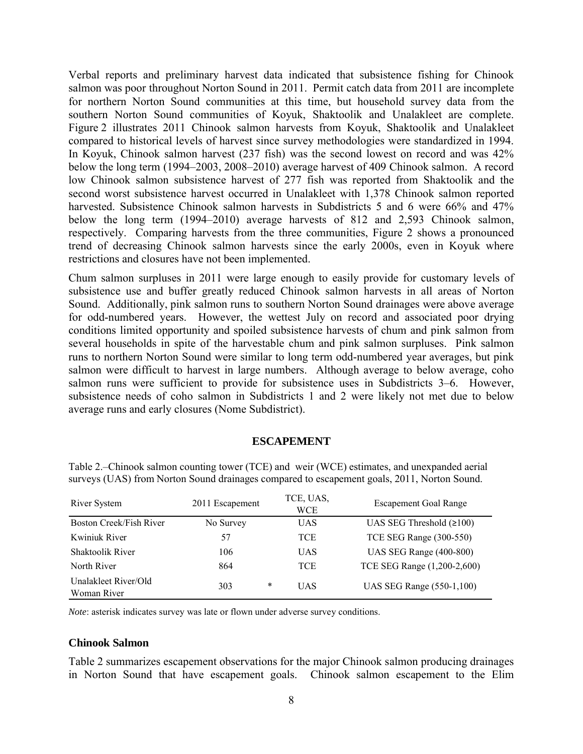Verbal reports and preliminary harvest data indicated that subsistence fishing for Chinook salmon was poor throughout Norton Sound in 2011. Permit catch data from 2011 are incomplete for northern Norton Sound communities at this time, but household survey data from the southern Norton Sound communities of Koyuk, Shaktoolik and Unalakleet are complete. Figure 2 illustrates 2011 Chinook salmon harvests from Koyuk, Shaktoolik and Unalakleet compared to historical levels of harvest since survey methodologies were standardized in 1994. In Koyuk, Chinook salmon harvest (237 fish) was the second lowest on record and was 42% below the long term (1994–2003, 2008–2010) average harvest of 409 Chinook salmon. A record low Chinook salmon subsistence harvest of 277 fish was reported from Shaktoolik and the second worst subsistence harvest occurred in Unalakleet with 1,378 Chinook salmon reported harvested. Subsistence Chinook salmon harvests in Subdistricts 5 and 6 were 66% and 47% below the long term (1994–2010) average harvests of 812 and 2,593 Chinook salmon, respectively. Comparing harvests from the three communities, Figure 2 shows a pronounced trend of decreasing Chinook salmon harvests since the early 2000s, even in Koyuk where restrictions and closures have not been implemented.

Chum salmon surpluses in 2011 were large enough to easily provide for customary levels of subsistence use and buffer greatly reduced Chinook salmon harvests in all areas of Norton Sound. Additionally, pink salmon runs to southern Norton Sound drainages were above average for odd-numbered years. However, the wettest July on record and associated poor drying conditions limited opportunity and spoiled subsistence harvests of chum and pink salmon from several households in spite of the harvestable chum and pink salmon surpluses. Pink salmon runs to northern Norton Sound were similar to long term odd-numbered year averages, but pink salmon were difficult to harvest in large numbers. Although average to below average, coho salmon runs were sufficient to provide for subsistence uses in Subdistricts 3–6. However, subsistence needs of coho salmon in Subdistricts 1 and 2 were likely not met due to below average runs and early closures (Nome Subdistrict).

#### **ESCAPEMENT**

| River System                        | 2011 Escapement | TCE, UAS,<br><b>WCE</b> | <b>Escapement Goal Range</b>   |  |  |
|-------------------------------------|-----------------|-------------------------|--------------------------------|--|--|
| <b>Boston Creek/Fish River</b>      | No Survey       | <b>UAS</b>              | UAS SEG Threshold $(2100)$     |  |  |
| Kwiniuk River                       | 57              | <b>TCE</b>              | TCE SEG Range (300-550)        |  |  |
| <b>Shaktoolik River</b>             | 106             | <b>UAS</b>              | <b>UAS SEG Range (400-800)</b> |  |  |
| North River                         | 864             | <b>TCE</b>              | TCE SEG Range (1,200-2,600)    |  |  |
| Unalakleet River/Old<br>Woman River | 303             | *<br><b>UAS</b>         | UAS SEG Range (550-1,100)      |  |  |

Table 2.–Chinook salmon counting tower (TCE) and weir (WCE) estimates, and unexpanded aerial surveys (UAS) from Norton Sound drainages compared to escapement goals, 2011, Norton Sound.

*Note*: asterisk indicates survey was late or flown under adverse survey conditions.

#### **Chinook Salmon**

Table 2 summarizes escapement observations for the major Chinook salmon producing drainages in Norton Sound that have escapement goals. Chinook salmon escapement to the Elim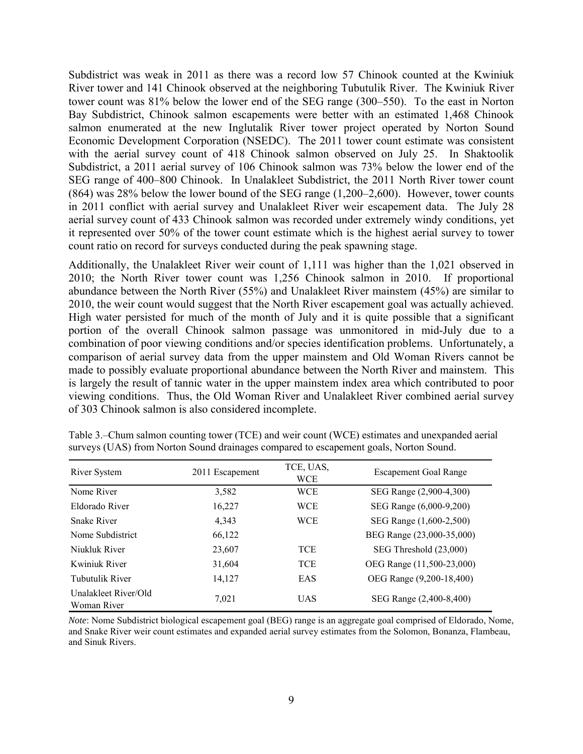Subdistrict was weak in 2011 as there was a record low 57 Chinook counted at the Kwiniuk River tower and 141 Chinook observed at the neighboring Tubutulik River. The Kwiniuk River tower count was 81% below the lower end of the SEG range (300–550). To the east in Norton Bay Subdistrict, Chinook salmon escapements were better with an estimated 1,468 Chinook salmon enumerated at the new Inglutalik River tower project operated by Norton Sound Economic Development Corporation (NSEDC). The 2011 tower count estimate was consistent with the aerial survey count of 418 Chinook salmon observed on July 25. In Shaktoolik Subdistrict, a 2011 aerial survey of 106 Chinook salmon was 73% below the lower end of the SEG range of 400–800 Chinook. In Unalakleet Subdistrict, the 2011 North River tower count (864) was 28% below the lower bound of the SEG range (1,200–2,600). However, tower counts in 2011 conflict with aerial survey and Unalakleet River weir escapement data. The July 28 aerial survey count of 433 Chinook salmon was recorded under extremely windy conditions, yet it represented over 50% of the tower count estimate which is the highest aerial survey to tower count ratio on record for surveys conducted during the peak spawning stage.

Additionally, the Unalakleet River weir count of 1,111 was higher than the 1,021 observed in 2010; the North River tower count was 1,256 Chinook salmon in 2010. If proportional abundance between the North River (55%) and Unalakleet River mainstem (45%) are similar to 2010, the weir count would suggest that the North River escapement goal was actually achieved. High water persisted for much of the month of July and it is quite possible that a significant portion of the overall Chinook salmon passage was unmonitored in mid-July due to a combination of poor viewing conditions and/or species identification problems. Unfortunately, a comparison of aerial survey data from the upper mainstem and Old Woman Rivers cannot be made to possibly evaluate proportional abundance between the North River and mainstem. This is largely the result of tannic water in the upper mainstem index area which contributed to poor viewing conditions. Thus, the Old Woman River and Unalakleet River combined aerial survey of 303 Chinook salmon is also considered incomplete.

| River System                        | 2011 Escapement | TCE, UAS,<br><b>WCE</b> | <b>Escapement Goal Range</b> |  |  |  |
|-------------------------------------|-----------------|-------------------------|------------------------------|--|--|--|
| Nome River                          | 3,582           | <b>WCE</b>              | SEG Range (2,900-4,300)      |  |  |  |
| Eldorado River                      | 16,227          | <b>WCE</b>              | SEG Range (6,000-9,200)      |  |  |  |
| <b>Snake River</b>                  | 4,343           | <b>WCE</b>              | SEG Range (1,600-2,500)      |  |  |  |
| Nome Subdistrict                    | 66,122          |                         | BEG Range (23,000-35,000)    |  |  |  |
| Niukluk River                       | 23,607          | <b>TCE</b>              | SEG Threshold (23,000)       |  |  |  |
| Kwiniuk River                       | 31,604          | <b>TCE</b>              | OEG Range (11,500-23,000)    |  |  |  |
| <b>Tubutulik River</b>              | 14,127          | EAS                     | OEG Range (9,200-18,400)     |  |  |  |
| Unalakleet River/Old<br>Woman River | 7,021           | <b>UAS</b>              | SEG Range (2,400-8,400)      |  |  |  |

Table 3.–Chum salmon counting tower (TCE) and weir count (WCE) estimates and unexpanded aerial surveys (UAS) from Norton Sound drainages compared to escapement goals, Norton Sound.

*Note*: Nome Subdistrict biological escapement goal (BEG) range is an aggregate goal comprised of Eldorado, Nome, and Snake River weir count estimates and expanded aerial survey estimates from the Solomon, Bonanza, Flambeau, and Sinuk Rivers.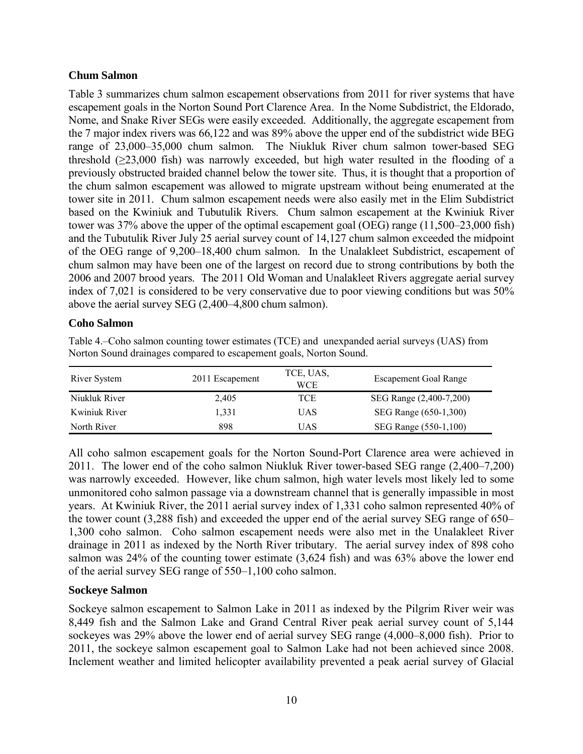## **Chum Salmon**

Table 3 summarizes chum salmon escapement observations from 2011 for river systems that have escapement goals in the Norton Sound Port Clarence Area. In the Nome Subdistrict, the Eldorado, Nome, and Snake River SEGs were easily exceeded. Additionally, the aggregate escapement from the 7 major index rivers was 66,122 and was 89% above the upper end of the subdistrict wide BEG range of 23,000–35,000 chum salmon. The Niukluk River chum salmon tower-based SEG threshold  $(\geq 23,000)$  fish) was narrowly exceeded, but high water resulted in the flooding of a previously obstructed braided channel below the tower site. Thus, it is thought that a proportion of the chum salmon escapement was allowed to migrate upstream without being enumerated at the tower site in 2011. Chum salmon escapement needs were also easily met in the Elim Subdistrict based on the Kwiniuk and Tubutulik Rivers. Chum salmon escapement at the Kwiniuk River tower was 37% above the upper of the optimal escapement goal (OEG) range (11,500–23,000 fish) and the Tubutulik River July 25 aerial survey count of 14,127 chum salmon exceeded the midpoint of the OEG range of 9,200–18,400 chum salmon. In the Unalakleet Subdistrict, escapement of chum salmon may have been one of the largest on record due to strong contributions by both the 2006 and 2007 brood years. The 2011 Old Woman and Unalakleet Rivers aggregate aerial survey index of 7,021 is considered to be very conservative due to poor viewing conditions but was 50% above the aerial survey SEG (2,400–4,800 chum salmon).

## **Coho Salmon**

Table 4.–Coho salmon counting tower estimates (TCE) and unexpanded aerial surveys (UAS) from Norton Sound drainages compared to escapement goals, Norton Sound.

| River System  | 2011 Escapement | TCE, UAS,<br>WCE | <b>Escapement Goal Range</b> |
|---------------|-----------------|------------------|------------------------------|
| Niukluk River | 2.405           | TCE              | SEG Range (2,400-7,200)      |
| Kwiniuk River | 1.331           | UAS              | SEG Range (650-1,300)        |
| North River   | 898             | UAS              | SEG Range (550-1,100)        |

All coho salmon escapement goals for the Norton Sound-Port Clarence area were achieved in 2011. The lower end of the coho salmon Niukluk River tower-based SEG range (2,400–7,200) was narrowly exceeded. However, like chum salmon, high water levels most likely led to some unmonitored coho salmon passage via a downstream channel that is generally impassible in most years. At Kwiniuk River, the 2011 aerial survey index of 1,331 coho salmon represented 40% of the tower count (3,288 fish) and exceeded the upper end of the aerial survey SEG range of 650– 1,300 coho salmon. Coho salmon escapement needs were also met in the Unalakleet River drainage in 2011 as indexed by the North River tributary. The aerial survey index of 898 coho salmon was 24% of the counting tower estimate (3,624 fish) and was 63% above the lower end of the aerial survey SEG range of 550–1,100 coho salmon.

# **Sockeye Salmon**

Sockeye salmon escapement to Salmon Lake in 2011 as indexed by the Pilgrim River weir was 8,449 fish and the Salmon Lake and Grand Central River peak aerial survey count of 5,144 sockeyes was 29% above the lower end of aerial survey SEG range (4,000–8,000 fish). Prior to 2011, the sockeye salmon escapement goal to Salmon Lake had not been achieved since 2008. Inclement weather and limited helicopter availability prevented a peak aerial survey of Glacial